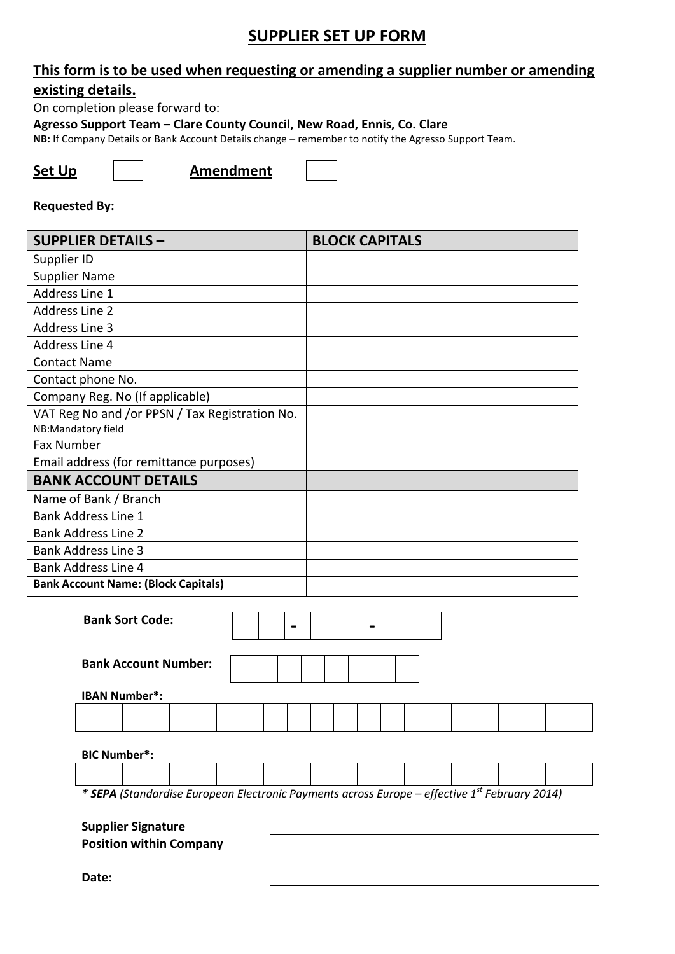#### **SUPPLIER SET UP FORM**

#### **This form is to be used when requesting or amending a supplier number or amending existing details.**

On completion please forward to:

**Agresso Support Team – Clare County Council, New Road, Ennis, Co. Clare**

**NB:** If Company Details or Bank Account Details change – remember to notify the Agresso Support Team.

**Set Up**  $\vert$  **Amendment** 

#### **Requested By:**

| <b>SUPPLIER DETAILS -</b>                      | <b>BLOCK CAPITALS</b> |
|------------------------------------------------|-----------------------|
| Supplier ID                                    |                       |
| <b>Supplier Name</b>                           |                       |
| Address Line 1                                 |                       |
| Address Line 2                                 |                       |
| <b>Address Line 3</b>                          |                       |
| Address Line 4                                 |                       |
| <b>Contact Name</b>                            |                       |
| Contact phone No.                              |                       |
| Company Reg. No (If applicable)                |                       |
| VAT Reg No and /or PPSN / Tax Registration No. |                       |
| NB:Mandatory field                             |                       |
| Fax Number                                     |                       |
| Email address (for remittance purposes)        |                       |
| <b>BANK ACCOUNT DETAILS</b>                    |                       |
| Name of Bank / Branch                          |                       |
| <b>Bank Address Line 1</b>                     |                       |
| <b>Bank Address Line 2</b>                     |                       |
| <b>Bank Address Line 3</b>                     |                       |
| <b>Bank Address Line 4</b>                     |                       |
| <b>Bank Account Name: (Block Capitals)</b>     |                       |

| <b>Bank Sort Code:</b>                                                                                    |  |  |  |
|-----------------------------------------------------------------------------------------------------------|--|--|--|
| <b>Bank Account Number:</b>                                                                               |  |  |  |
| <b>IBAN Number*:</b>                                                                                      |  |  |  |
|                                                                                                           |  |  |  |
| <b>BIC Number*:</b>                                                                                       |  |  |  |
|                                                                                                           |  |  |  |
| * SEPA (Standardise European Electronic Payments across Europe - effective 1 <sup>st</sup> February 2014) |  |  |  |
| <b>Supplier Signature</b>                                                                                 |  |  |  |
| <b>Position within Company</b>                                                                            |  |  |  |
|                                                                                                           |  |  |  |

**Date:**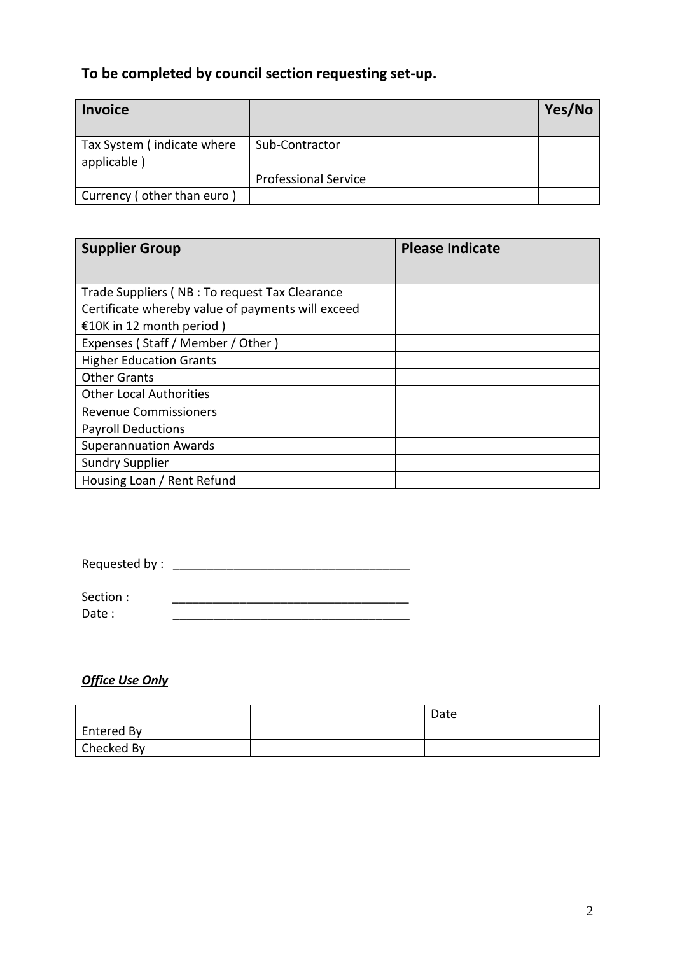#### **To be completed by council section requesting set-up.**

| <b>Invoice</b>                            |                             | Yes/No |
|-------------------------------------------|-----------------------------|--------|
| Tax System (indicate where<br>applicable) | Sub-Contractor              |        |
|                                           | <b>Professional Service</b> |        |
| Currency (other than euro)                |                             |        |

| <b>Supplier Group</b>                             | <b>Please Indicate</b> |
|---------------------------------------------------|------------------------|
| Trade Suppliers (NB : To request Tax Clearance    |                        |
| Certificate whereby value of payments will exceed |                        |
| €10K in 12 month period)                          |                        |
| Expenses (Staff / Member / Other)                 |                        |
| <b>Higher Education Grants</b>                    |                        |
| <b>Other Grants</b>                               |                        |
| <b>Other Local Authorities</b>                    |                        |
| <b>Revenue Commissioners</b>                      |                        |
| <b>Payroll Deductions</b>                         |                        |
| <b>Superannuation Awards</b>                      |                        |
| <b>Sundry Supplier</b>                            |                        |
| Housing Loan / Rent Refund                        |                        |

| Requested by: |  |
|---------------|--|
|---------------|--|

Section : \_\_\_\_\_\_\_\_\_\_\_\_\_\_\_\_\_\_\_\_\_\_\_\_\_\_\_\_\_\_\_\_\_\_\_ Date :

#### *Office Use Only*

|            | Date |
|------------|------|
| Entered By |      |
| Checked By |      |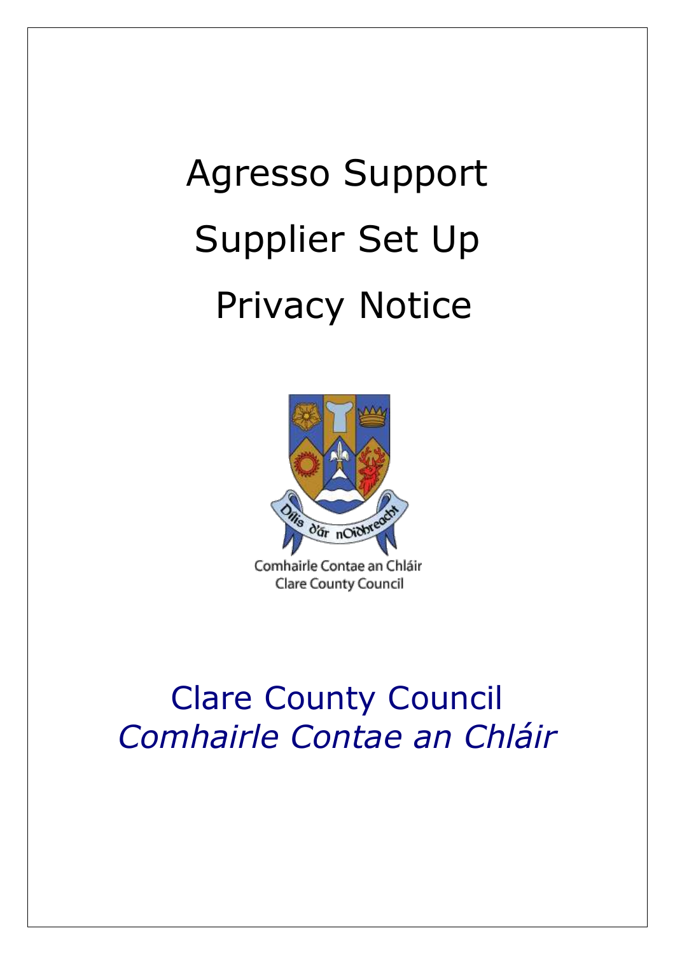# Agresso Support Supplier Set Up Privacy Notice



Comhairle Contae an Chláir Clare County Council

# Clare County Council *Comhairle Contae an Chláir*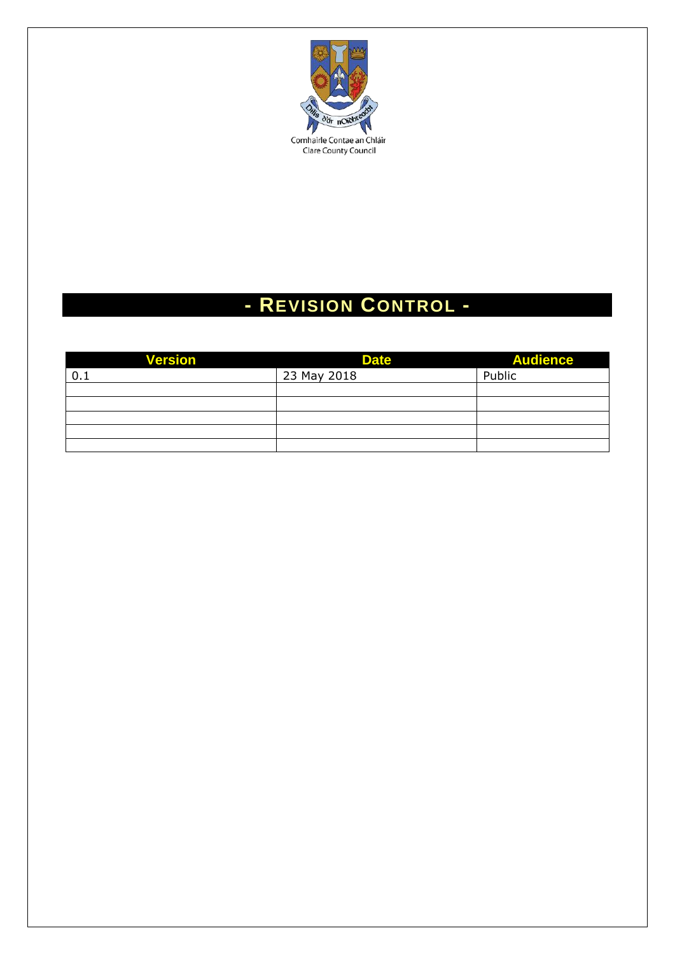

### **- REVISION CONTROL -**

| <b>Version</b> | <b>Date</b> | <b>Audience</b> |
|----------------|-------------|-----------------|
| 0.1            | 23 May 2018 | Public          |
|                |             |                 |
|                |             |                 |
|                |             |                 |
|                |             |                 |
|                |             |                 |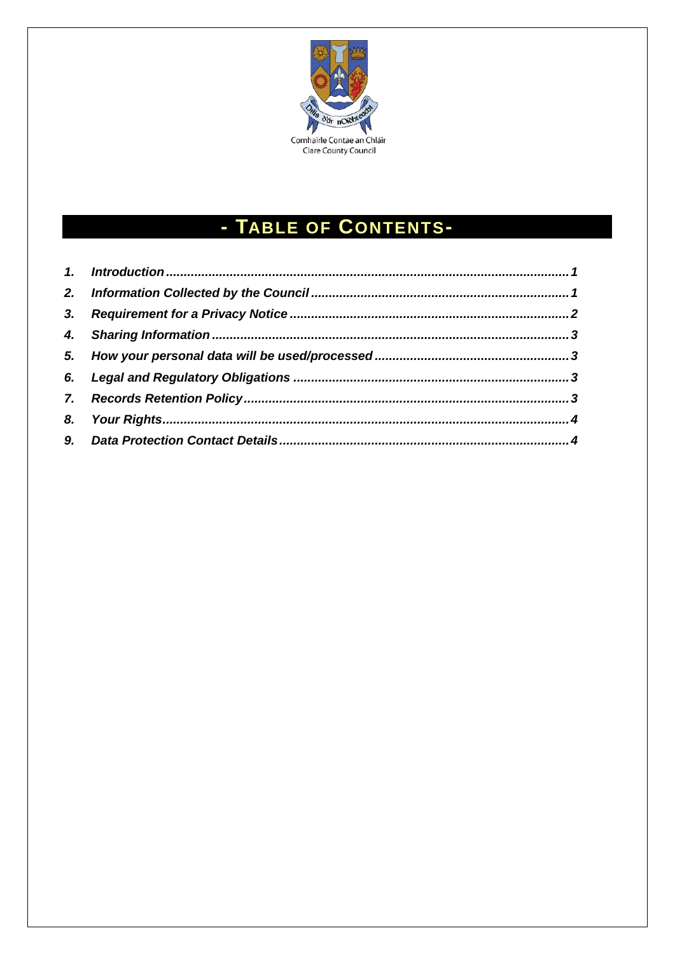

## - TABLE OF CONTENTS-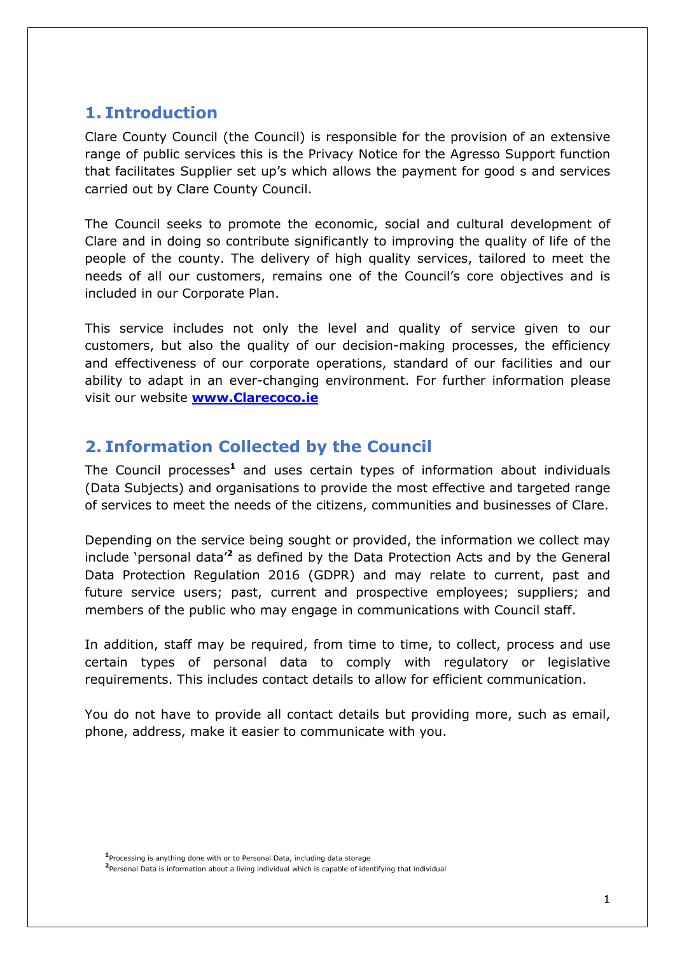#### <span id="page-5-0"></span>**1. Introduction**

Clare County Council (the Council) is responsible for the provision of an extensive range of public services this is the Privacy Notice for the Agresso Support function that facilitates Supplier set up's which allows the payment for good s and services carried out by Clare County Council.

The Council seeks to promote the economic, social and cultural development of Clare and in doing so contribute significantly to improving the quality of life of the people of the county. The delivery of high quality services, tailored to meet the needs of all our customers, remains one of the Council's core objectives and is included in our Corporate Plan.

This service includes not only the level and quality of service given to our customers, but also the quality of our decision-making processes, the efficiency and effectiveness of our corporate operations, standard of our facilities and our ability to adapt in an ever-changing environment. For further information please visit our website **[www.Clarecoco.ie](http://www.kerrycoco.ie/)**

#### <span id="page-5-1"></span>**2. Information Collected by the Council**

The Council processes**<sup>1</sup>** and uses certain types of information about individuals (Data Subjects) and organisations to provide the most effective and targeted range of services to meet the needs of the citizens, communities and businesses of Clare.

Depending on the service being sought or provided, the information we collect may include 'personal data'**<sup>2</sup>** as defined by the Data Protection Acts and by the General Data Protection Regulation 2016 (GDPR) and may relate to current, past and future service users; past, current and prospective employees; suppliers; and members of the public who may engage in communications with Council staff.

In addition, staff may be required, from time to time, to collect, process and use certain types of personal data to comply with regulatory or legislative requirements. This includes contact details to allow for efficient communication.

You do not have to provide all contact details but providing more, such as email, phone, address, make it easier to communicate with you.

**<sup>1</sup>** Processing is anything done with or to Personal Data, including data storage

**<sup>2</sup>** Personal Data is information about a living individual which is capable of identifying that individual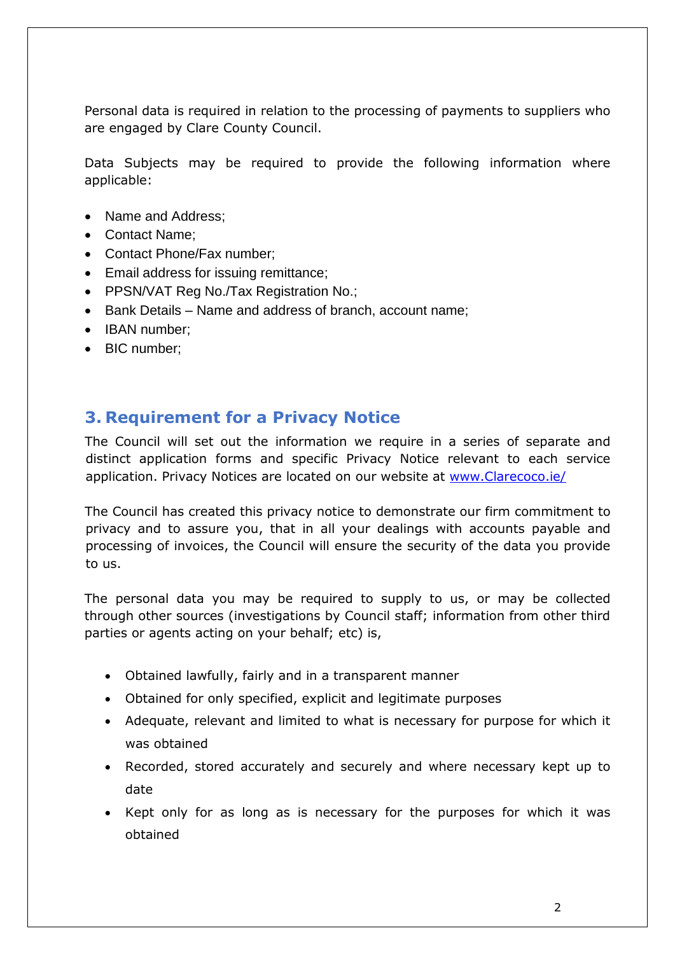Personal data is required in relation to the processing of payments to suppliers who are engaged by Clare County Council.

Data Subjects may be required to provide the following information where applicable:

- Name and Address;
- Contact Name:
- Contact Phone/Fax number:
- Email address for issuing remittance;
- PPSN/VAT Reg No./Tax Registration No.;
- Bank Details Name and address of branch, account name;
- IBAN number:
- BIC number;

#### <span id="page-6-0"></span>**3. Requirement for a Privacy Notice**

The Council will set out the information we require in a series of separate and distinct application forms and specific Privacy Notice relevant to each service application. Privacy Notices are located on our website at [www.Clarecoco.ie/](http://www.kerrycoco.ie/)

The Council has created this privacy notice to demonstrate our firm commitment to privacy and to assure you, that in all your dealings with accounts payable and processing of invoices, the Council will ensure the security of the data you provide to us.

The personal data you may be required to supply to us, or may be collected through other sources (investigations by Council staff; information from other third parties or agents acting on your behalf; etc) is,

- Obtained lawfully, fairly and in a transparent manner
- Obtained for only specified, explicit and legitimate purposes
- Adequate, relevant and limited to what is necessary for purpose for which it was obtained
- Recorded, stored accurately and securely and where necessary kept up to date
- Kept only for as long as is necessary for the purposes for which it was obtained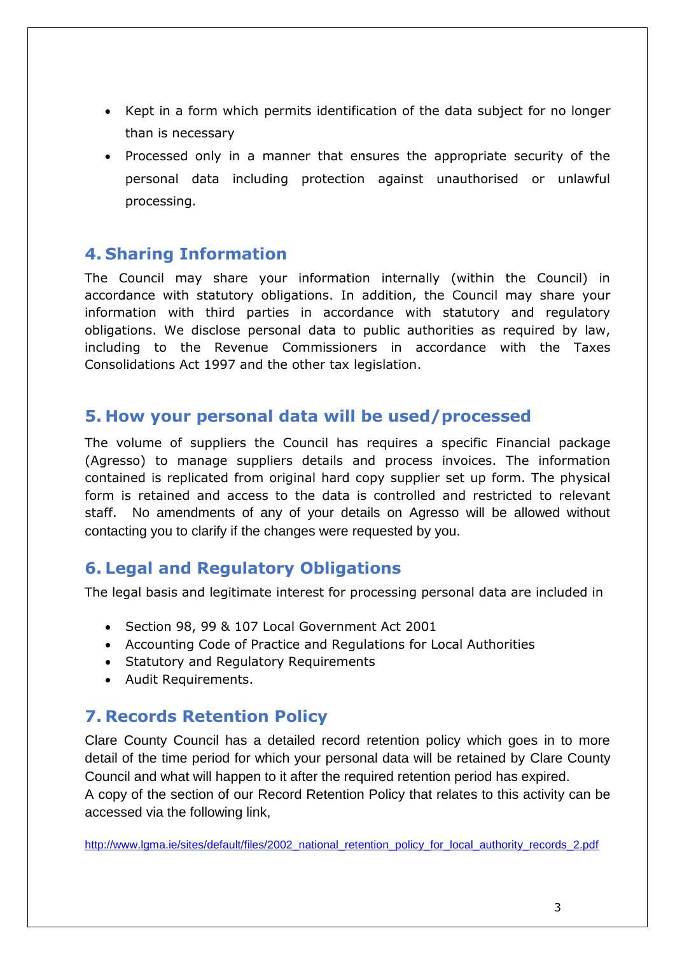- Kept in a form which permits identification of the data subject for no longer than is necessary
- Processed only in a manner that ensures the appropriate security of the personal data including protection against unauthorised or unlawful processing.

#### <span id="page-7-0"></span>**4. Sharing Information**

The Council may share your information internally (within the Council) in accordance with statutory obligations. In addition, the Council may share your information with third parties in accordance with statutory and regulatory obligations. We disclose personal data to public authorities as required by law, including to the Revenue Commissioners in accordance with the Taxes Consolidations Act 1997 and the other tax legislation.

#### <span id="page-7-1"></span>**5. How your personal data will be used/processed**

The volume of suppliers the Council has requires a specific Financial package (Agresso) to manage suppliers details and process invoices. The information contained is replicated from original hard copy supplier set up form. The physical form is retained and access to the data is controlled and restricted to relevant staff. No amendments of any of your details on Agresso will be allowed without contacting you to clarify if the changes were requested by you.

#### <span id="page-7-2"></span>**6. Legal and Regulatory Obligations**

The legal basis and legitimate interest for processing personal data are included in

- Section 98, 99 & 107 Local Government Act 2001
- Accounting Code of Practice and Regulations for Local Authorities
- Statutory and Regulatory Requirements
- Audit Requirements.

#### <span id="page-7-3"></span>**7. Records Retention Policy**

Clare County Council has a detailed record retention policy which goes in to more detail of the time period for which your personal data will be retained by Clare County Council and what will happen to it after the required retention period has expired.

A copy of the section of our Record Retention Policy that relates to this activity can be accessed via the following link,

[http://www.lgma.ie/sites/default/files/2002\\_national\\_retention\\_policy\\_for\\_local\\_authority\\_records\\_2.pdf](http://www.lgma.ie/sites/default/files/2002_national_retention_policy_for_local_authority_records_2.pdf)